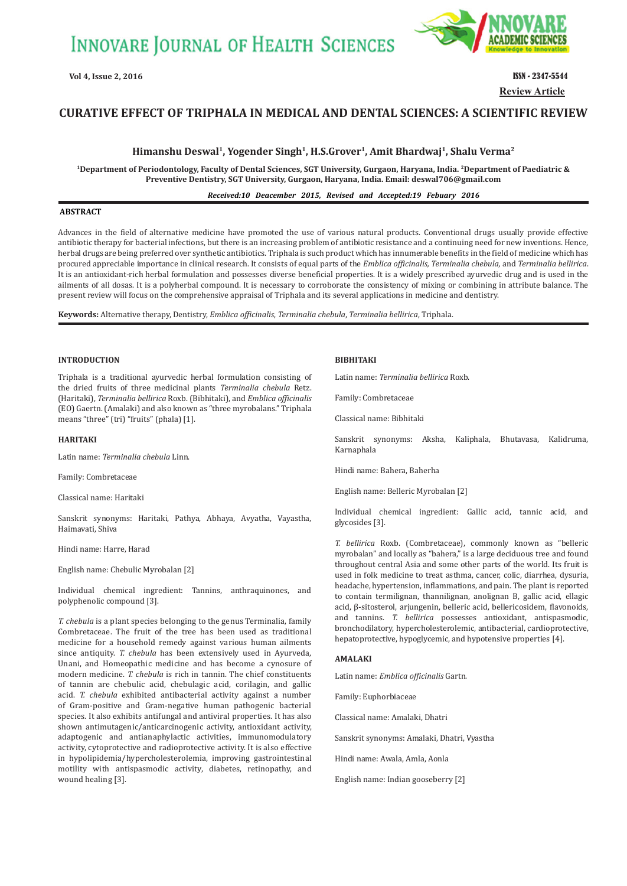

**Review Article**

# **CURATIVE EFFECT OF TRIPHALA IN MEDICAL AND DENTAL SCIENCES: A SCIENTIFIC REVIEW**

# Himanshu Deswal<sup>1</sup>, Yogender Singh<sup>1</sup>, H.S.Grover<sup>1</sup>, Amit Bhardwaj<sup>1</sup>, Shalu Verma<sup>2</sup>

**1Department of Periodontology, Faculty of Dental Sciences, SGT University, Gurgaon, Haryana, India. 2Department of Paediatric & Preventive Dentistry, SGT University, Gurgaon, Haryana, India. Email: deswal706@gmail.com**

*Received:10 Deacember 2015, Revised and Accepted:19 Febuary 2016*

# **ABSTRACT**

Advances in the field of alternative medicine have promoted the use of various natural products. Conventional drugs usually provide effective antibiotic therapy for bacterial infections, but there is an increasing problem of antibiotic resistance and a continuing need for new inventions. Hence, herbal drugs are being preferred over synthetic antibiotics. Triphala is such product which has innumerable benefits in the field of medicine which has procured appreciable importance in clinical research. It consists of equal parts of the *Emblica officinalis, Terminalia chebula,* and *Terminalia bellirica*. It is an antioxidant-rich herbal formulation and possesses diverse beneficial properties. It is a widely prescribed ayurvedic drug and is used in the ailments of all dosas. It is a polyherbal compound. It is necessary to corroborate the consistency of mixing or combining in attribute balance. The present review will focus on the comprehensive appraisal of Triphala and its several applications in medicine and dentistry.

**Keywords:** Alternative therapy, Dentistry, *Emblica officinalis*, *Terminalia chebula*, *Terminalia bellirica*, Triphala.

# **INTRODUCTION**

Triphala is a traditional ayurvedic herbal formulation consisting of the dried fruits of three medicinal plants *Terminalia chebula* Retz. (Haritaki), *Terminalia bellirica* Roxb. (Bibhitaki), and *Emblica officinalis*  (EO) Gaertn. (Amalaki) and also known as "three myrobalans." Triphala means "three" (tri) "fruits" (phala) [1].

# **HARITAKI**

Latin name: *Terminalia chebula* Linn.

Family: Combretaceae

Classical name: Haritaki

Sanskrit synonyms: Haritaki, Pathya, Abhaya, Avyatha, Vayastha, Haimavati, Shiva

Hindi name: Harre, Harad

English name: Chebulic Myrobalan [2]

Individual chemical ingredient: Tannins, anthraquinones, and polyphenolic compound [3].

*T. chebula* is a plant species belonging to the genus Terminalia, family Combretaceae. The fruit of the tree has been used as traditional medicine for a household remedy against various human ailments since antiquity. *T. chebula* has been extensively used in Ayurveda, Unani, and Homeopathic medicine and has become a cynosure of modern medicine. *T. chebula* is rich in tannin. The chief constituents of tannin are chebulic acid, chebulagic acid, corilagin, and gallic acid. *T. chebula* exhibited antibacterial activity against a number of Gram-positive and Gram-negative human pathogenic bacterial species. It also exhibits antifungal and antiviral properties. It has also shown antimutagenic/anticarcinogenic activity, antioxidant activity, adaptogenic and antianaphylactic activities, immunomodulatory activity, cytoprotective and radioprotective activity. It is also effective in hypolipidemia/hypercholesterolemia, improving gastrointestinal motility with antispasmodic activity, diabetes, retinopathy, and wound healing [3].

# **BIBHITAKI**

Latin name: *Terminalia bellirica* Roxb.

Family: Combretaceae

Classical name: Bibhitaki

Sanskrit synonyms: Aksha, Kaliphala, Bhutavasa, Kalidruma, Karnaphala

Hindi name: Bahera, Baherha

English name: Belleric Myrobalan [2]

Individual chemical ingredient: Gallic acid, tannic acid, and glycosides [3].

*T. bellirica* Roxb. (Combretaceae), commonly known as "belleric myrobalan" and locally as "bahera," is a large deciduous tree and found throughout central Asia and some other parts of the world. Its fruit is used in folk medicine to treat asthma, cancer, colic, diarrhea, dysuria, headache, hypertension, inflammations, and pain. The plant is reported to contain termilignan, thannilignan, anolignan B, gallic acid, ellagic acid, β-sitosterol, arjungenin, belleric acid, bellericosidem, flavonoids, and tannins. *T. bellirica* possesses antioxidant, antispasmodic, bronchodilatory, hypercholesterolemic, antibacterial, cardioprotective, hepatoprotective, hypoglycemic, and hypotensive properties [4].

# **AMALAKI**

Latin name: *Emblica officinalis* Gartn.

Family: Euphorbiaceae

Classical name: Amalaki, Dhatri

Sanskrit synonyms: Amalaki, Dhatri, Vyastha

Hindi name: Awala, Amla, Aonla

English name: Indian gooseberry [2]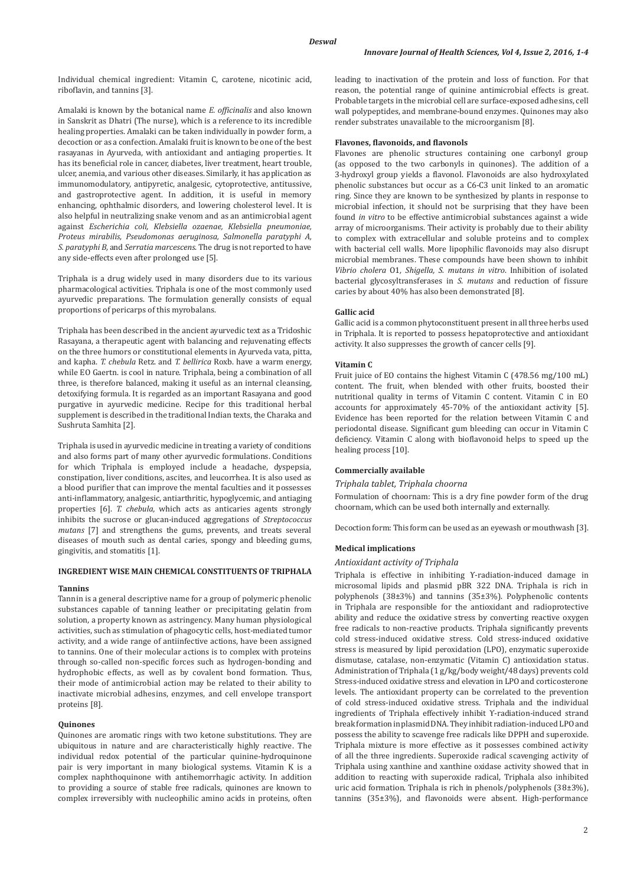Individual chemical ingredient: Vitamin C, carotene, nicotinic acid, riboflavin, and tannins [3].

Amalaki is known by the botanical name *E. officinalis* and also known in Sanskrit as Dhatri (The nurse), which is a reference to its incredible healing properties. Amalaki can be taken individually in powder form, a decoction or as a confection. Amalaki fruit is known to be one of the best rasayanas in Ayurveda, with antioxidant and antiaging properties. It has its beneficial role in cancer, diabetes, liver treatment, heart trouble, ulcer, anemia, and various other diseases. Similarly, it has application as immunomodulatory, antipyretic, analgesic, cytoprotective, antitussive, and gastroprotective agent. In addition, it is useful in memory enhancing, ophthalmic disorders, and lowering cholesterol level. It is also helpful in neutralizing snake venom and as an antimicrobial agent against *Escherichia coli, Klebsiella ozaenae, Klebsiella pneumoniae, Proteus mirabilis, Pseudomonas aeruginosa, Salmonella paratyphi A, S. paratyphi B,* and *Serratia marcescens*. The drug is not reported to have any side-effects even after prolonged use [5].

Triphala is a drug widely used in many disorders due to its various pharmacological activities. Triphala is one of the most commonly used ayurvedic preparations. The formulation generally consists of equal proportions of pericarps of this myrobalans.

Triphala has been described in the ancient ayurvedic text as a Tridoshic Rasayana, a therapeutic agent with balancing and rejuvenating effects on the three humors or constitutional elements in Ayurveda vata, pitta, and kapha. *T. chebula* Retz. and *T. bellirica* Roxb. have a warm energy, while EO Gaertn. is cool in nature. Triphala, being a combination of all three, is therefore balanced, making it useful as an internal cleansing, detoxifying formula. It is regarded as an important Rasayana and good purgative in ayurvedic medicine. Recipe for this traditional herbal supplement is described in the traditional Indian texts, the Charaka and Sushruta Samhita [2].

Triphala is used in ayurvedic medicine in treating a variety of conditions and also forms part of many other ayurvedic formulations. Conditions for which Triphala is employed include a headache, dyspepsia, constipation, liver conditions, ascites, and leucorrhea. It is also used as a blood purifier that can improve the mental faculties and it possesses anti-inflammatory, analgesic, antiarthritic, hypoglycemic, and antiaging properties [6]. *T. chebula,* which acts as anticaries agents strongly inhibits the sucrose or glucan-induced aggregations of *Streptococcus mutans* [7] and strengthens the gums, prevents, and treats several diseases of mouth such as dental caries, spongy and bleeding gums, gingivitis, and stomatitis [1].

# **INGREDIENT WISE MAIN CHEMICAL CONSTITUENTS OF TRIPHALA**

#### **Tannins**

Tannin is a general descriptive name for a group of polymeric phenolic substances capable of tanning leather or precipitating gelatin from solution, a property known as astringency. Many human physiological activities, such as stimulation of phagocytic cells, host-mediated tumor activity, and a wide range of antiinfective actions, have been assigned to tannins. One of their molecular actions is to complex with proteins through so-called non-specific forces such as hydrogen-bonding and hydrophobic effects, as well as by covalent bond formation. Thus, their mode of antimicrobial action may be related to their ability to inactivate microbial adhesins, enzymes, and cell envelope transport proteins [8].

### **Quinones**

Quinones are aromatic rings with two ketone substitutions. They are ubiquitous in nature and are characteristically highly reactive. The individual redox potential of the particular quinine-hydroquinone pair is very important in many biological systems. Vitamin K is a complex naphthoquinone with antihemorrhagic activity. In addition to providing a source of stable free radicals, quinones are known to complex irreversibly with nucleophilic amino acids in proteins, often leading to inactivation of the protein and loss of function. For that reason, the potential range of quinine antimicrobial effects is great. Probable targets in the microbial cell are surface-exposed adhesins, cell wall polypeptides, and membrane-bound enzymes. Quinones may also render substrates unavailable to the microorganism [8].

# **Flavones, flavonoids, and flavonols**

Flavones are phenolic structures containing one carbonyl group (as opposed to the two carbonyls in quinones). The addition of a 3-hydroxyl group yields a flavonol. Flavonoids are also hydroxylated phenolic substances but occur as a C6-C3 unit linked to an aromatic ring. Since they are known to be synthesized by plants in response to microbial infection, it should not be surprising that they have been found *in vitro* to be effective antimicrobial substances against a wide array of microorganisms. Their activity is probably due to their ability to complex with extracellular and soluble proteins and to complex with bacterial cell walls. More lipophilic flavonoids may also disrupt microbial membranes. These compounds have been shown to inhibit *Vibrio cholera* O1*, Shigella, S. mutans in vitro*. Inhibition of isolated bacterial glycosyltransferases in *S. mutans* and reduction of fissure caries by about 40% has also been demonstrated [8].

### **Gallic acid**

Gallic acid is a common phytoconstituent present in all three herbs used in Triphala. It is reported to possess hepatoprotective and antioxidant activity. It also suppresses the growth of cancer cells [9].

#### **Vitamin C**

Fruit juice of EO contains the highest Vitamin C (478.56 mg/100 mL) content. The fruit, when blended with other fruits, boosted their nutritional quality in terms of Vitamin C content. Vitamin C in EO accounts for approximately 45-70% of the antioxidant activity [5]. Evidence has been reported for the relation between Vitamin C and periodontal disease. Significant gum bleeding can occur in Vitamin C deficiency. Vitamin C along with bioflavonoid helps to speed up the healing process [10].

### **Commercially available**

### *Triphala tablet, Triphala choorna*

Formulation of choornam: This is a dry fine powder form of the drug choornam, which can be used both internally and externally.

Decoction form: This form can be used as an eyewash or mouthwash [3].

#### **Medical implications**

### *Antioxidant activity of Triphala*

Triphala is effective in inhibiting ϒ-radiation-induced damage in microsomal lipids and plasmid pBR 322 DNA. Triphala is rich in polyphenols (38±3%) and tannins (35±3%). Polyphenolic contents in Triphala are responsible for the antioxidant and radioprotective ability and reduce the oxidative stress by converting reactive oxygen free radicals to non-reactive products. Triphala significantly prevents cold stress-induced oxidative stress. Cold stress-induced oxidative stress is measured by lipid peroxidation (LPO), enzymatic superoxide dismutase, catalase, non-enzymatic (Vitamin C) antioxidation status. Administration of Triphala (1 g/kg/body weight/48 days) prevents cold Stress-induced oxidative stress and elevation in LPO and corticosterone levels. The antioxidant property can be correlated to the prevention of cold stress-induced oxidative stress. Triphala and the individual ingredients of Triphala effectively inhibit ϒ-radiation-induced strand break formation in plasmid DNA. They inhibit radiation-induced LPO and possess the ability to scavenge free radicals like DPPH and superoxide. Triphala mixture is more effective as it possesses combined activity of all the three ingredients. Superoxide radical scavenging activity of Triphala using xanthine and xanthine oxidase activity showed that in addition to reacting with superoxide radical, Triphala also inhibited uric acid formation. Triphala is rich in phenols/polyphenols (38±3%), tannins (35±3%), and flavonoids were absent. High-performance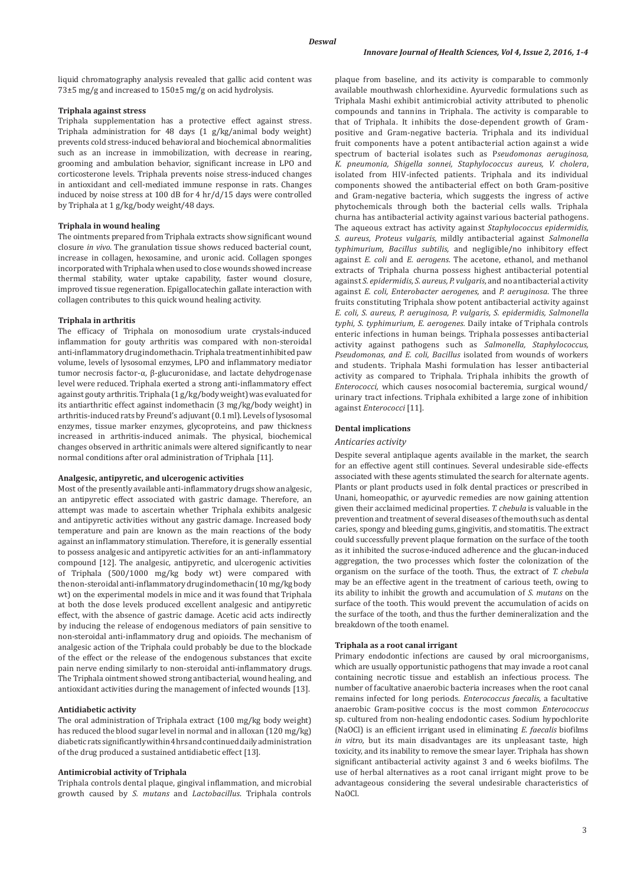liquid chromatography analysis revealed that gallic acid content was 73±5 mg/g and increased to 150±5 mg/g on acid hydrolysis.

# **Triphala against stress**

Triphala supplementation has a protective effect against stress. Triphala administration for 48 days (1 g/kg/animal body weight) prevents cold stress-induced behavioral and biochemical abnormalities such as an increase in immobilization, with decrease in rearing, grooming and ambulation behavior, significant increase in LPO and corticosterone levels. Triphala prevents noise stress-induced changes in antioxidant and cell-mediated immune response in rats. Changes induced by noise stress at 100 dB for 4 hr/d/15 days were controlled by Triphala at 1 g/kg/body weight/48 days.

# **Triphala in wound healing**

The ointments prepared from Triphala extracts show significant wound closure *in vivo.* The granulation tissue shows reduced bacterial count, increase in collagen, hexosamine, and uronic acid. Collagen sponges incorporated with Triphala when used to close wounds showed increase thermal stability, water uptake capability, faster wound closure, improved tissue regeneration. Epigallocatechin gallate interaction with collagen contributes to this quick wound healing activity.

# **Triphala in arthritis**

The efficacy of Triphala on monosodium urate crystals-induced inflammation for gouty arthritis was compared with non-steroidal anti-inflammatory drug indomethacin. Triphala treatment inhibited paw volume, levels of lysosomal enzymes, LPO and inflammatory mediator tumor necrosis factor-α, β-glucuronidase, and lactate dehydrogenase level were reduced. Triphala exerted a strong anti-inflammatory effect against gouty arthritis. Triphala (1 g/kg/body weight) was evaluated for its antiarthritic effect against indomethacin (3 mg/kg/body weight) in arthritis-induced rats by Freund's adjuvant (0.1 ml). Levels of lysosomal enzymes, tissue marker enzymes, glycoproteins, and paw thickness increased in arthritis-induced animals. The physical, biochemical changes observed in arthritic animals were altered significantly to near normal conditions after oral administration of Triphala [11].

# **Analgesic, antipyretic, and ulcerogenic activities**

Most of the presently available anti-inflammatory drugs show analgesic, an antipyretic effect associated with gastric damage. Therefore, an attempt was made to ascertain whether Triphala exhibits analgesic and antipyretic activities without any gastric damage. Increased body temperature and pain are known as the main reactions of the body against an inflammatory stimulation. Therefore, it is generally essential to possess analgesic and antipyretic activities for an anti-inflammatory compound [12]. The analgesic, antipyretic, and ulcerogenic activities of Triphala (500/1000 mg/kg body wt) were compared with the non-steroidal anti-inflammatory drug indomethacin (10 mg/kg body wt) on the experimental models in mice and it was found that Triphala at both the dose levels produced excellent analgesic and antipyretic effect, with the absence of gastric damage. Acetic acid acts indirectly by inducing the release of endogenous mediators of pain sensitive to non-steroidal anti-inflammatory drug and opioids. The mechanism of analgesic action of the Triphala could probably be due to the blockade of the effect or the release of the endogenous substances that excite pain nerve ending similarly to non-steroidal anti-inflammatory drugs. The Triphala ointment showed strong antibacterial, wound healing, and antioxidant activities during the management of infected wounds [13].

# **Antidiabetic activity**

The oral administration of Triphala extract (100 mg/kg body weight) has reduced the blood sugar level in normal and in alloxan (120 mg/kg) diabetic rats significantly within 4 hrs and continued daily administration of the drug produced a sustained antidiabetic effect [13].

### **Antimicrobial activity of Triphala**

Triphala controls dental plaque, gingival inflammation, and microbial growth caused by *S. mutans* and *Lactobacillus*. Triphala controls plaque from baseline, and its activity is comparable to commonly available mouthwash chlorhexidine. Ayurvedic formulations such as Triphala Mashi exhibit antimicrobial activity attributed to phenolic compounds and tannins in Triphala. The activity is comparable to that of Triphala. It inhibits the dose-dependent growth of Grampositive and Gram-negative bacteria. Triphala and its individual fruit components have a potent antibacterial action against a wide spectrum of bacterial isolates such as P*seudomonas aeruginosa, K. pneumonia, Shigella sonnei, Staphylococcus aureus, V. cholera*, isolated from HIV*-*infected patients. Triphala and its individual components showed the antibacterial effect on both Gram-positive and Gram-negative bacteria, which suggests the ingress of active phytochemicals through both the bacterial cells walls. Triphala churna has antibacterial activity against various bacterial pathogens. The aqueous extract has activity against *Staphylococcus epidermidis, S. aureus, Proteus vulgaris,* mildly antibacterial against *Salmonella typhimurium, Bacillus subtilis,* and negligible/no inhibitory effect against *E. coli* and *E. aerogens.* The acetone, ethanol, and methanol extracts of Triphala churna possess highest antibacterial potential against *S. epidermidis, S. aureus, P. vulgaris,* and no antibacterial activity against *E. coli, Enterobacter aerogenes,* and *P. aeruginosa*. The three fruits constituting Triphala show potent antibacterial activity against *E. coli, S. aureus, P. aeruginosa, P. vulgaris, S. epidermidis, Salmonella typhi, S. typhimurium, E. aerogenes.* Daily intake of Triphala controls enteric infections in human beings. Triphala possesses antibacterial activity against pathogens such as *Salmonella, Staphylococcus, Pseudomonas, and E. coli, Bacillus* isolated from wounds of workers and students. Triphala Mashi formulation has lesser antibacterial activity as compared to Triphala. Triphala inhibits the growth of *Enterococci,* which causes nosocomial bacteremia, surgical wound/ urinary tract infections. Triphala exhibited a large zone of inhibition against *Enterococci* [11].

# **Dental implications**

# *Anticaries activity*

Despite several antiplaque agents available in the market, the search for an effective agent still continues. Several undesirable side-effects associated with these agents stimulated the search for alternate agents. Plants or plant products used in folk dental practices or prescribed in Unani, homeopathic, or ayurvedic remedies are now gaining attention given their acclaimed medicinal properties. *T. chebula* is valuable in the prevention and treatment of several diseases of the mouth such as dental caries, spongy and bleeding gums, gingivitis, and stomatitis. The extract could successfully prevent plaque formation on the surface of the tooth as it inhibited the sucrose-induced adherence and the glucan-induced aggregation, the two processes which foster the colonization of the organism on the surface of the tooth. Thus, the extract of *T. chebula*  may be an effective agent in the treatment of carious teeth, owing to its ability to inhibit the growth and accumulation of *S. mutans* on the surface of the tooth. This would prevent the accumulation of acids on the surface of the tooth, and thus the further demineralization and the breakdown of the tooth enamel.

### **Triphala as a root canal irrigant**

Primary endodontic infections are caused by oral microorganisms, which are usually opportunistic pathogens that may invade a root canal containing necrotic tissue and establish an infectious process. The number of facultative anaerobic bacteria increases when the root canal remains infected for long periods. *Enterococcus faecalis*, a facultative anaerobic Gram-positive coccus is the most common *Enterococcus* sp. cultured from non-healing endodontic cases. Sodium hypochlorite (NaOCl) is an efficient irrigant used in eliminating *E. faecalis* biofilms *in vitro,* but its main disadvantages are its unpleasant taste, high toxicity, and its inability to remove the smear layer. Triphala has shown significant antibacterial activity against 3 and 6 weeks biofilms. The use of herbal alternatives as a root canal irrigant might prove to be advantageous considering the several undesirable characteristics of NaOCl.